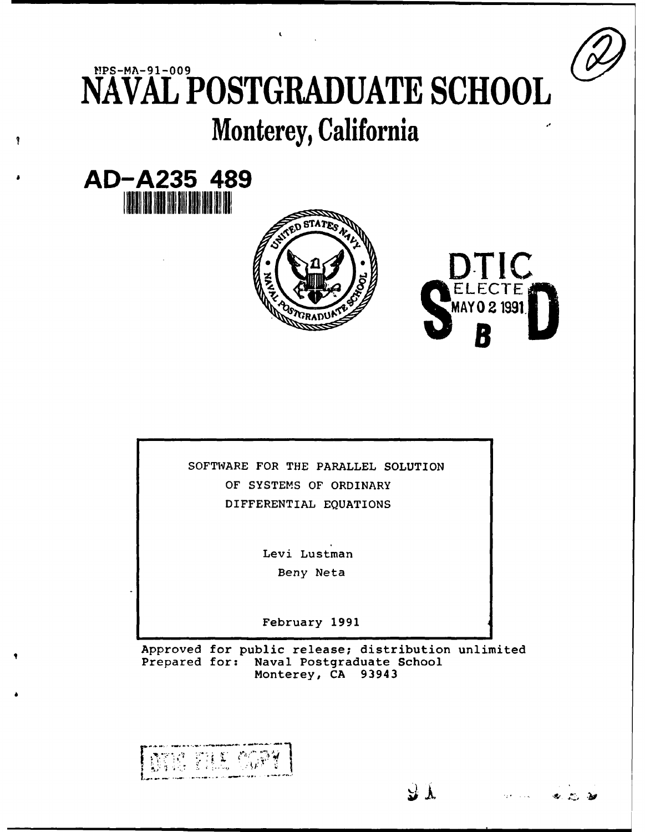# **VPS-MA-91-009** <code>NAVAL</code> <code>POSTGRADUATE SCHOOL</code> **Monterey, California**

 $\mathbf{t}$ 



 $\overline{\mathbf{r}}$ 





SOFTWARE FOR THE PARALLEL SOLUTION OF SYSTEMS OF ORDINARY DIFFERENTIAL EQUATIONS

> Levi Lustman Beny Neta

February 1991

Approved for public release; distribution unlimited Prepared for: Naval Postgraduate School Monterey, CA 93943

 $\mathcal{A}$  )

rak Could

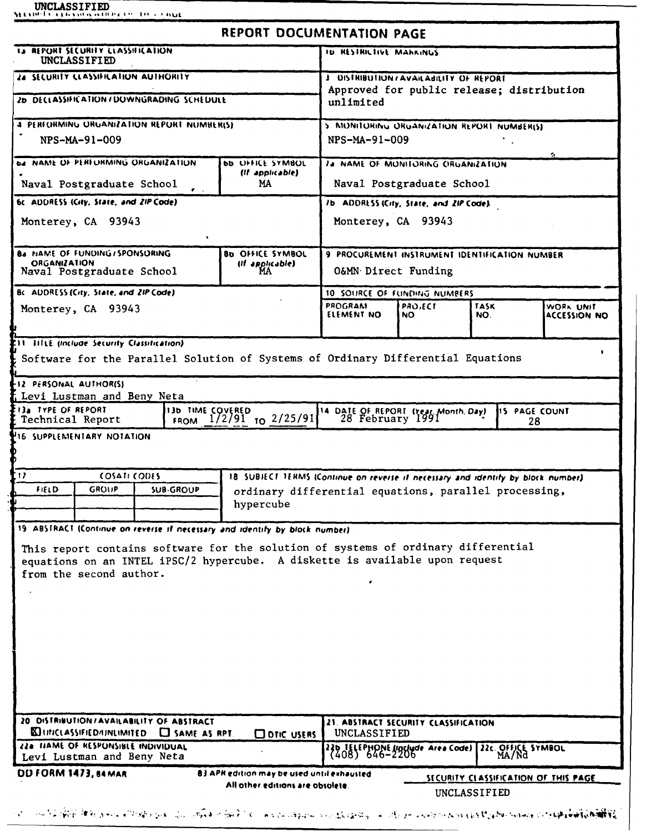|                                                                                                                                                                                                                                                                                                                                                                                 | REPORT DOCUMENTATION PAGE                                                                                                                                |                                                                                                 |                                      |                    |                                      |
|---------------------------------------------------------------------------------------------------------------------------------------------------------------------------------------------------------------------------------------------------------------------------------------------------------------------------------------------------------------------------------|----------------------------------------------------------------------------------------------------------------------------------------------------------|-------------------------------------------------------------------------------------------------|--------------------------------------|--------------------|--------------------------------------|
| IS REPORT SECURITY CLASSIFICATION<br>UNCLASSIFIED                                                                                                                                                                                                                                                                                                                               |                                                                                                                                                          | ID RESTRICTIVE MANKINGS                                                                         |                                      |                    |                                      |
| ZA SECURITY CLASSIFICATION AUTHORITY                                                                                                                                                                                                                                                                                                                                            |                                                                                                                                                          | J DISTRIBUTION/AVAILABILITY OF REPORT<br>Approved for public release; distribution<br>unlimited |                                      |                    |                                      |
| 26 DECLASSIFICATION / DOWNGRADING SCHEDULE                                                                                                                                                                                                                                                                                                                                      |                                                                                                                                                          |                                                                                                 |                                      |                    |                                      |
| 4 PERFORMING ORGANIZATION REPORT NUMBER(S)                                                                                                                                                                                                                                                                                                                                      |                                                                                                                                                          | 5 MONITORING ORGANIZATION REPORT NUMBER(S)                                                      |                                      |                    |                                      |
| NPS-MA-91-009                                                                                                                                                                                                                                                                                                                                                                   |                                                                                                                                                          | $NPS-MA-91-009$                                                                                 |                                      |                    |                                      |
| <b>DA NAME OF PERFORMING ORGANIZATION</b>                                                                                                                                                                                                                                                                                                                                       | <b>bb</b> OFFICE SYMBOL<br>(If applicable)                                                                                                               | 14 NAME OF MONITORING ORGANIZATION                                                              |                                      |                    |                                      |
| Naval Postgraduate School                                                                                                                                                                                                                                                                                                                                                       | MA.                                                                                                                                                      | Naval Postgraduate School                                                                       |                                      |                    |                                      |
| 6c. ADDRESS (City, State, and ZIP Code).                                                                                                                                                                                                                                                                                                                                        |                                                                                                                                                          | 7b ADDRESS (City, State, and ZIP Code).                                                         |                                      |                    |                                      |
| Monterey, CA 93943                                                                                                                                                                                                                                                                                                                                                              |                                                                                                                                                          | Monterey, CA 93943                                                                              |                                      |                    |                                      |
| <b>BA NAME OF FUNDING / SPONSORING</b><br><b>ORGANIZATION</b><br>Naval Postgraduate School                                                                                                                                                                                                                                                                                      | <b>8b OFFICE SYMBOL</b><br>(If applicable)<br>MA                                                                                                         | 9 PROCUREMENT INSTRUMENT IDENTIFICATION NUMBER<br>O&MN Direct Funding                           |                                      |                    |                                      |
| Bc ADDRESS (City, State, and ZIP Code).                                                                                                                                                                                                                                                                                                                                         |                                                                                                                                                          | 10 SOURCE OF FUNDING NUMBERS                                                                    |                                      |                    |                                      |
| Monterey, CA 93943                                                                                                                                                                                                                                                                                                                                                              |                                                                                                                                                          | <b>PROGRAM</b><br>ELEMENT NO                                                                    | <b>PROJECT</b><br>NO.                | TASK<br>NO.        | WORK UNIT<br>ACCESSION NO            |
| 16 SUPPLEMENTARY NOTATION<br>$\mathbf{17}$<br>COSATI CODES<br><b>GROUP</b><br>FIELD<br><b>SUB-GROUP</b>                                                                                                                                                                                                                                                                         | 18. SUBJECT TERMS (Continue on reverse if necessary and identify by block number).<br>ordinary differential equations, parallel processing,<br>hypercube |                                                                                                 |                                      |                    |                                      |
| 19 ABSTRACT (Continue on reverse if necessary and identify by block number).<br>This report contains software for the solution of systems of ordinary differential<br>equations on an INTEL iPSC/2 hypercube. A diskette is available upon request<br>from the second author.<br>20 DISTRIBUTION/AVAILABILITY OF ABSTRACT<br><b>KILITICLASSIFIED/IJNLIMITED CI SAME AS RPT.</b> | <b>ODTIC USERS</b>                                                                                                                                       | $\bullet$<br>UNCLASSIFIED                                                                       | 21. ABSTRACT SECURITY CLASSIFICATION |                    |                                      |
| 22a TIAME OF RESPONSIBLE INDIVIDUAL<br>Levi Lustman and Beny Neta                                                                                                                                                                                                                                                                                                               |                                                                                                                                                          |                                                                                                 | 22b TELEPHONE linclude Area Code)    | 22c. OFFICE SYMBOL |                                      |
| <b>DD FORM 1473, 64 MAR</b>                                                                                                                                                                                                                                                                                                                                                     | 83 APR edition may be used until exhausted.<br>All other editions are obsolete.                                                                          |                                                                                                 |                                      | UNCLASSIFIED       | SECURITY CLASSIFICATION OF THIS PAGE |

on to the basic first police attribution and only a relation of the second control of the control of the second second second second second second second second second second second second second second second second secon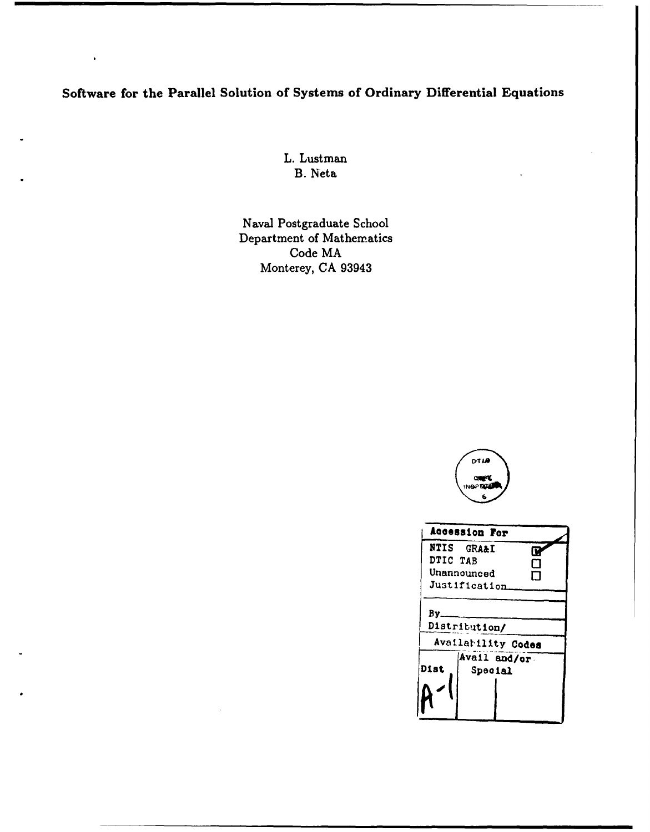## Software for the Parallel Solution of Systems of Ordinary Differential Equations

L. Lustman B. Neta

Naval Postgraduate School Department of Mathematics Code MA Monterey, CA 93943



|                    | Accession For |    |  |  |
|--------------------|---------------|----|--|--|
|                    | NTIS GRA&I    | IV |  |  |
| DTIC TAB           |               |    |  |  |
| Unannounced        |               |    |  |  |
| Justification      |               |    |  |  |
|                    |               |    |  |  |
| By.                |               |    |  |  |
| Distribution/      |               |    |  |  |
| Availability Codes |               |    |  |  |
|                    | Avail and/or  |    |  |  |
| <b>Dist</b>        | Special       |    |  |  |
|                    |               |    |  |  |
|                    |               |    |  |  |
|                    |               |    |  |  |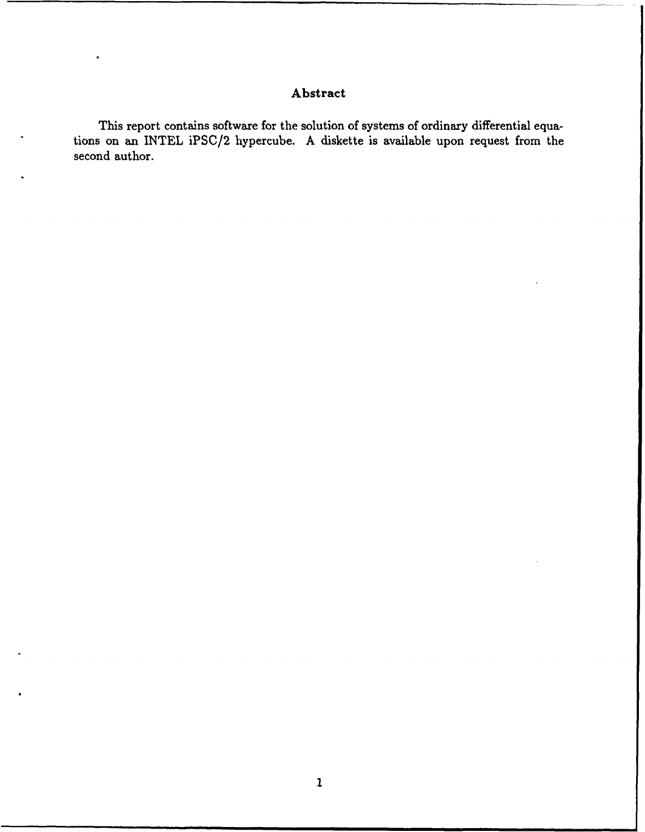#### Abstract

This report contains software for the solution of systems of ordinary differential equations on an **INTEL** iPSC/2 hypercube. **A** diskette is available upon request from the second author.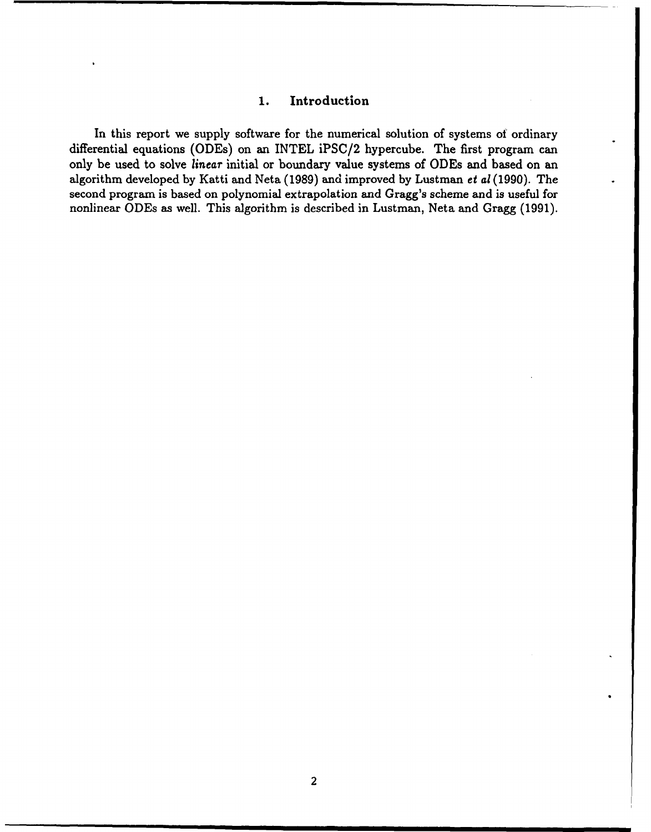#### **1. Introduction**

In this report we supply software for the numerical solution of systems of ordinary differential equations (ODEs) on an INTEL iPSC/2 hypercube. The first program can only be used to solve *linear* initial or boundary value systems of ODEs and based on an algorithm developed **by** Katti and Neta **(1989)** and improved **by** Lustman *et al* **(1990).** The second program is based on polynomial extrapolation and Gragg's scheme and is useful for nonlinear ODEs as well. This algorithm is described in Lustman, Neta and Gragg **(1991).**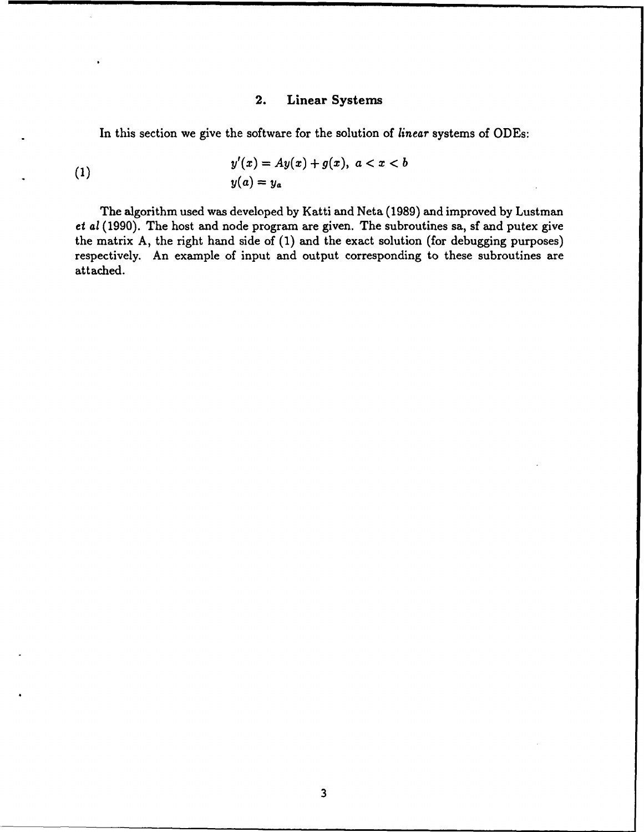#### **2. Linear Systems**

In this section we give the software for the solution of *linear* systems of ODEs:

(1) 
$$
y'(x) = Ay(x) + g(x), \quad a < x < b
$$
\n
$$
y(a) = y_a
$$

The algorithm used was developed **by** Katti and Neta **(1989)** and improved **by** Lustman *et al* **(1990).** The host and node program are given. The subroutines sa, sf and putex give the matrix **A,** the right hand side of **(1)** and the exact solution (for debugging purposes) respectively. An example of input and output corresponding to these subroutines are attached.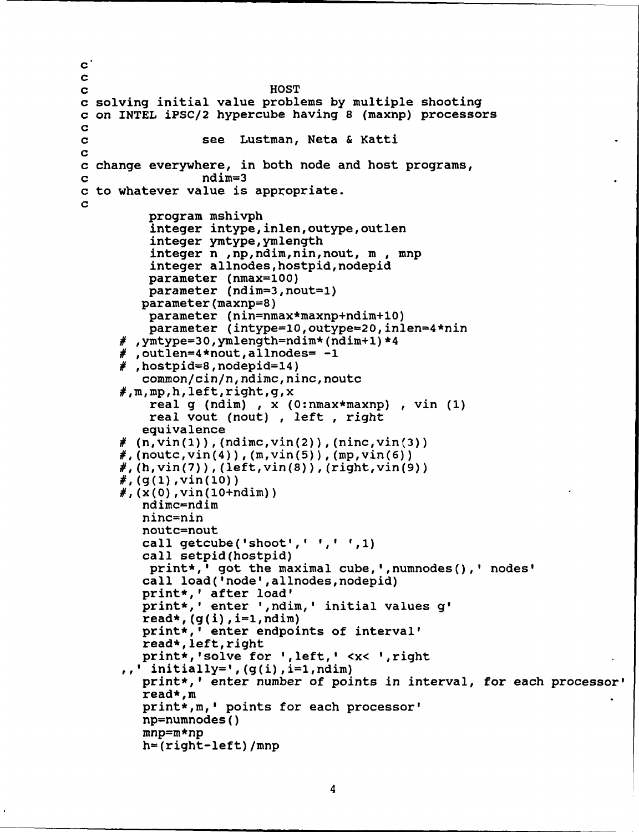```
C
C
c HOST
c solving initial value problems by multiple shooting
c on INTEL iPSC/2 hypercube having 8 (maxnp) processors
C
c see Lustman, Neta & Katti
C
c change everywhere, in both node and host programs,
c ndim=3
c to whatever value is appropriate.
C
         program mshivph
         integer intype, inlen, outype, out len
         integer ymtype, ymlength
         integer n ,np,ndim,nin,nout, m , mnp
         integer allnodes, hostpid, nodepid
         parameter (nmax=lOO)
         parameter (ndim=3, nout~1)
        parameter (maxnp=8)
         parameter (nin=nmax*maxnp+ndim+lO)
         parameter (intype=lO,outype=20, inlen=4*nin
     # ymtype=30,ymlength=ndim* (ndim+l) *4
       , outlen=4*nout, allnodes= -1# hostpid=8, nodepid=14)
        common/cin/n, ndimc, ninc, noutc
     #,m,mp,h, left,right,g,x
         real g (ndim) , x (O:nmax*maxnp) , yin (1)
         real vout (flout) , left , right
        equivalence
     # (n,vin(l)),(ndimc,vin(2)),(ninc,vin(3))
     # ' (noutc,vin(4)) ,(m,vin(5)), (mp,vin(6))
     #1 (h,vin(7)), (left,vin(8)), (right,vin(9))
     #: (g (1) , vin(10) )
     \#, (x(0), vin(10+ndim))
        ndimc=ndim
        ninc=nin
        noutc=nout
        call getcube('shoot',' ',' ',1)
        call setpid (hostpid)
         print*,' got the maximal cube,',numnodes(),' nodes'
        call load( 'node' ,allnodes,nodepid)
        print*,' after load'
        print*,' enter ',ndim,' initial values g'
        read*, (g(i), i=1, ndim)print*,' enter endpoints of interval'
        read*, left, right
        print*,'solve for ',left,' <x< ',right
     1,, initially=', (g(i) ,i=l,ndim)
        print*,' enter number of points in interval, for each processor'
        read*,m
        print*,m,' points for each processor'
        np=numnodes()mnp=m*np
        h= (right-left) /mnp
```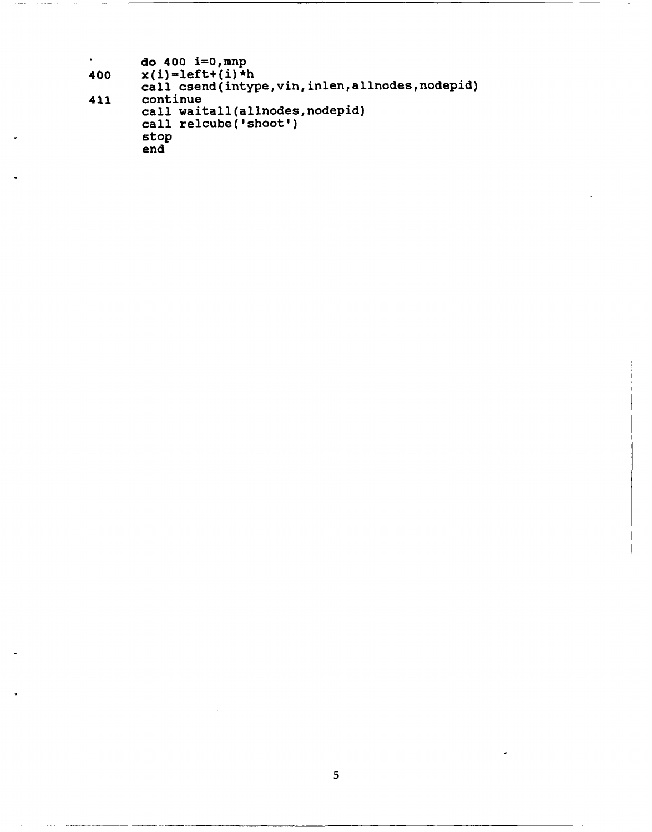```
do 400 i=0,mnp<br>x(i)=left+(i)*h<br>call_csend(intype,vin,inlen,allnodes,nodepid)
\mathbf{r}^{\prime}400
411
              continue
              continue<br>call waitall(allnodes, nodepid)<br>call relcube('shoot')<br>stop
              end
```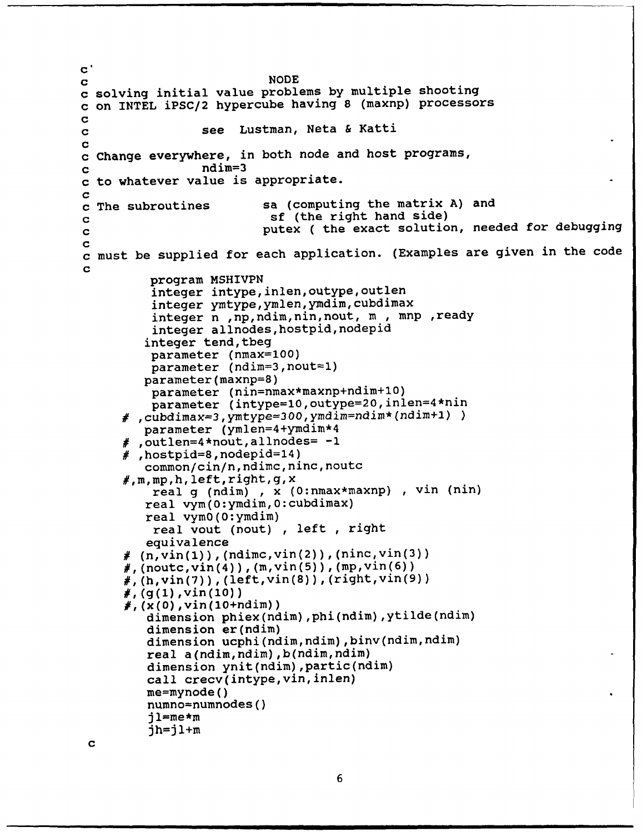```
C
c NODE
c solving initial value problems by multiple shooting
c on INTEL iPSC/2 hypercube having 8 (maxnp) processors
C
c see Lustman, Neta & Katti
c
c Change everywhere, in both node and host programs,
C ndim=3
c to whatever value is appropriate.
c
                        sa (computing the matrix A) and
c c sf (the right hand side)<br>c putex (the exact solution
                        putex ( the exact solution, needed for debugging
c
c must be supplied for each application. (Examples are given in the code
c
         program MSHIVPN
         integer intype,inlen,outype,outlen
         integer ymtype,ymlen,ymdim,cubdimax
         integer n ,np,ndim,nin,nout, m , mnp ,ready
         integer allnodes,hostpid,nodepid
        integer tend,tbeg
         parameter (nmax=100)
         parameter (ndim=3,nout=1)
        parameter(maxnp=8)
         parameter (nin=nmax*maxnp+ndim+10)
         parameter (intype=10, outype=20, inlen=4*nin
     # ,cubdimax=3,ymtype=300,ymdim=ndim*(ndim+l)
        parameter (ymlen=4+ymdim*4
     # ,outlen=4*nout,allnodes= -1
     # ,hostpid=8,nodepid=14)
        common/cin/n,ndimc,ninc,noutc
     #,m,mp,h,left,right,g,x
         real g (ndim) , x (O:nmax*maxnp) , vin (nin)
        real vym(O:ymdim,O:cubdimax)
        real vymO(0:ymdim)
         real vout (nout) , left , right
        equivalence
     # (n, vin(1)),(ndimc,vin(2)),(ninc,vin(3))
     \#, (noutc, vin(4)), (m, vin(5)), (mp, vin(6))
     \#, (h, vin(7)), (left, vin(8)), (right, vin(9))
     \#, (g(1), vin(10))
     #, (x(0), vin(10+ndim))
        dimension phiex(ndim),phi(ndim),ytilde(ndim)
        dimension er(ndim)
        dimension ucphi(ndim,ndim),binv(ndim,ndim)
        real a(ndim,ndim),b(ndim,ndim)
        dimension ynit(ndim),partic(ndim)
        call crecv(intype,vin,inlen)
        me=mynode()
        numno=numnodes()
        jl=me*m
        jh=jl+m
 c
```

```
6
```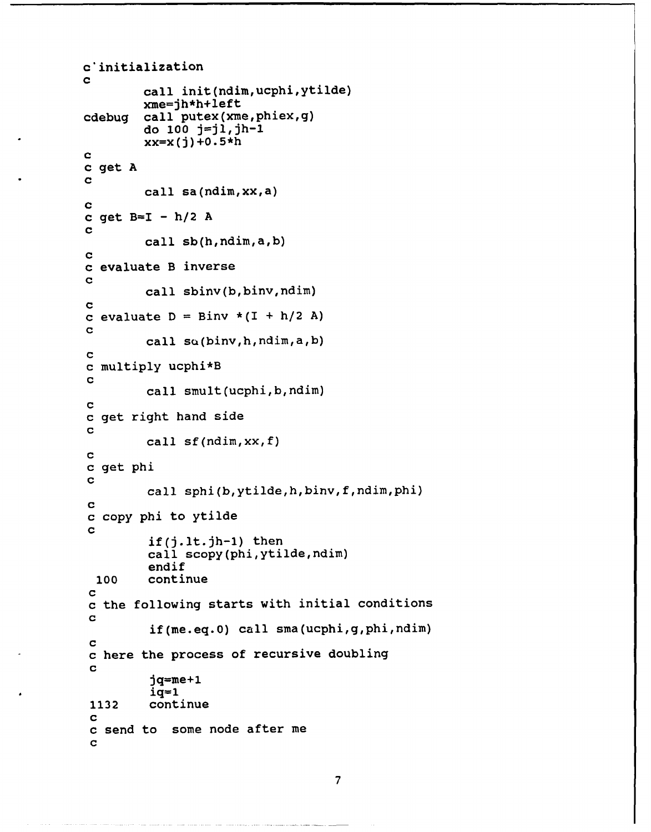```
c'initialization
C
        call init(ndim, ucphi, ytilde)
        xme=jh*h+left
cdebug call putex(xme, phiex, g)
        do 100 j=jl,jh-1
        xx=x(j)+0.5*hC
c get A
C
        call sa(ndim,xx,a)
C
c get B=I - h/2 A
c
        call sb(h,ndim,a,b)
C
c evaluate B inverse
C
        call sbinv(b,binv,ndim)
C
c evaluate D = Binv *(I + h/2 A)
C
        call sa(binv,h,ndim,a,b)
c
c multiply ucphi*B
c
        call smult(ucphi,b,ndim)
c
c get right hand side
c
        call sf(ndim,xx,f)
C
c get phi
c
         call sphi(b,ytilde,h,binv,f,ndim,phi)
c
c copy phi to ytilde
c
         if(j.1t.jh-1) then
         call scopy(phi,ytilde,ndim)
         endif
 100 continue
c
c the following starts with initial conditions
C
         if(me.eq.0) call sma(ucphi,g,phi,ndim)
c
c here the process of recursive doubling
c
         jq=me+l
         iq=l
1132 continue
c
c send to some node after me
c
```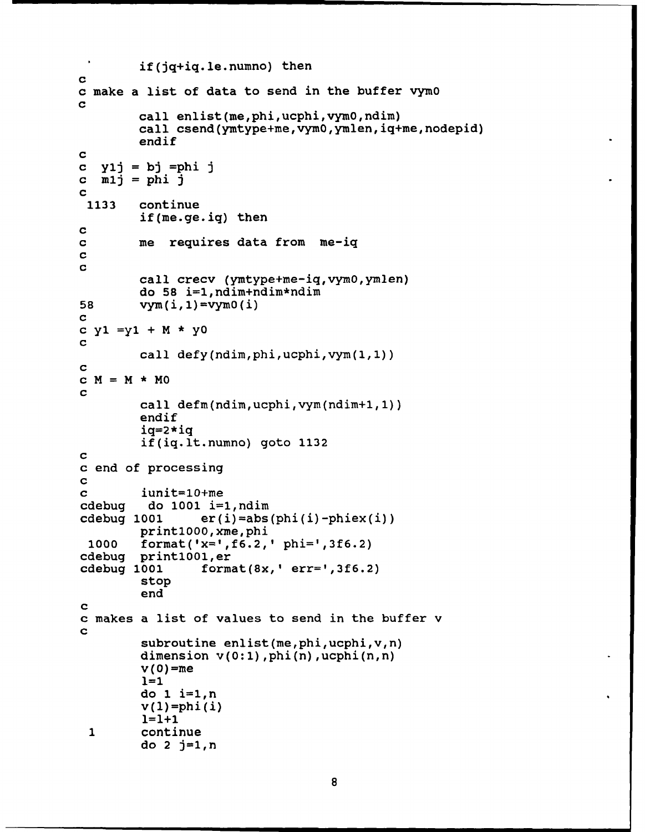```
if(jq+iq.le.numno) then
C
c make a list of data to send in the buffer vymO
C
        call enlist(me,phi,ucphi,vymo,ndim)
        call csend(ymtype+me,vymO,ymlen, iq+me, nodepid)
        endif
C
c y1j = bj =phii j
c mij = phi j
C
 1133 continue
        if(me.ge.ig) then
c
c me requires data from me-iq
c
C
        call crecv (ymtype+me-iq,vymO,ymlen)
        do 58 i=1,ndim+ndim*ndim
58 vym(i, 1)=vym0(i)c
c \, y1 = y1 + M * y0c
        call defy(ndim,phi,ucphi,vym(1,1))
c
c M = M \star MOc
        call defm(ndim,ucphi,vym(ndim+1, 1))
        endif
        iq=2*iq
        if(iq..lt.numno) goto 1132
C
c end of processing
c
c iunit=10+me
cdebug do 1001 i=1,ndim
cdebug 1001 er(i)=abs(phi(i)-phiex(i))
        printlOoO, xme, phi
 1000 format('x=',f6.2,' phi=',3f6.2)
cdebug printlool,er
cdebug 1001 format(8x,' err= , 3f6.2)
        stop
        end
C
c makes a list of values to send in the buffer v
C
        subroutine enlist(me, phi, ucphi, v, n)
        dimension v(0:1), phi(n), ucphi(n, n)
        v (0)=me
        1=1
        do 1 i=1,n
        v(1) = phi(i)1=1+1
 1 continue
        do 2 j=1,n
```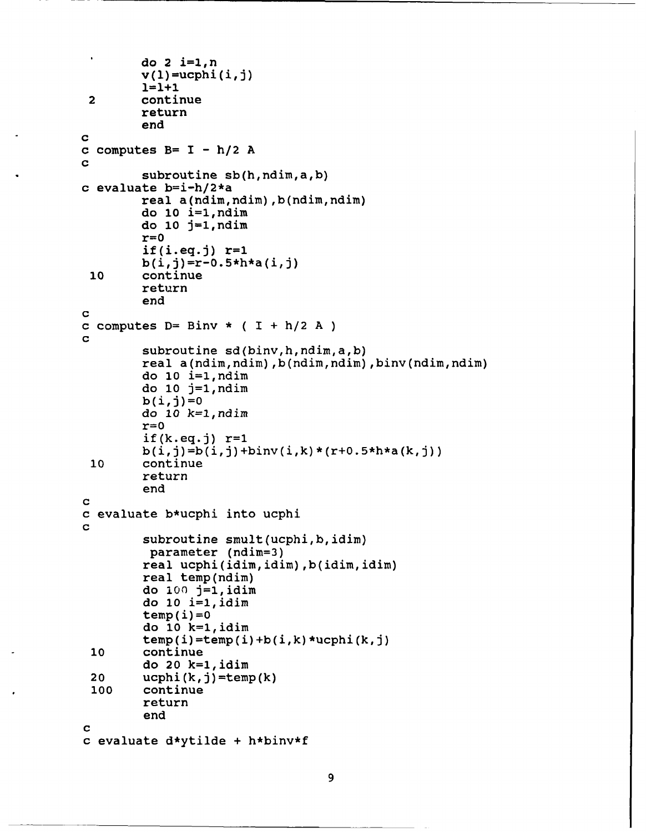```
\bulletdo 2 i=1, nv(1) = ucphi(i, j)1=1+1
 2 continue
        return
        end
C
c computes B= I - h/2 A
C
        subroutine sb(h,ndim,a,b)
c evaluate b=i-h/2*a
        real a(ndim,ndim), b(ndim,ndim)
        do 10 i=l,ndim
        do 10 j=1,ndim
        r=0if(i.eq.j) r=1b(i,j)=r-0.5*h*a(i,j)10 continue
        return
        end
C
c computes D= Binv * (I + h/2 A)c
        subroutine sd(binv, h, ndim, a, b)
        real a(ndim,ndim) ,b(ndim,ndim) ,binv(ndim,ndim)
        do 10 i=l,ndim
        do 10 j=1,ndim
        b(i,j)=0
        do 10 k=1,ndim
        r=0if(k.eq.j) r=1
        b(i,j)=b(i,j)+binv(i,k)*(r+0.5*h*a(k,j))10 continue
        return
        end
c
c evaluate b*ucphi into ucphi
c
        subroutine smult (ucphi, b, idin)
         parameter (ndim=3)
        real ucphi(idim, idim), b(idim, idim)
        real temp(ndim)
        do 100 j=l,idim
        do 10 i=1,idim
        temp(i)=0do 10 k=1,idim
        temp(i)=temp(i)+b(i,k) * ucphi(k,j)10 continue
        do 20 k=l,idim
 20 ucphi(k,j)=temp(k)*100 continue
        return
        end
c
c evaluate d*ytilde + h*binv*f
```

```
9
```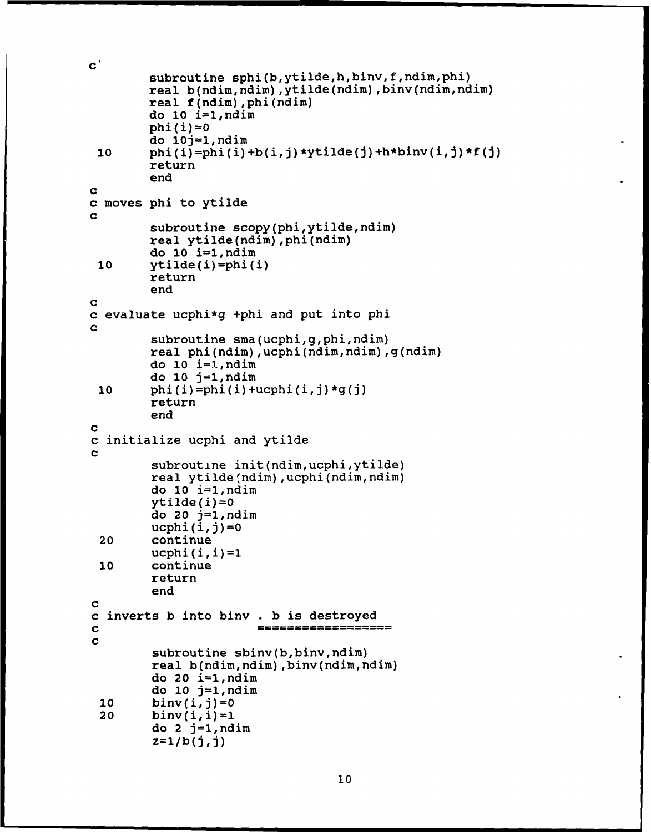```
C
        subroutine sphi(b, ytilde, h, binv, f, ndim, phi)
        real b(ndim,ndim), ytilde(ndim), binv(ndim,ndim)
        real f(ndim) ,phi(ndim)
        do 10 i=l,ridim
        phi(i)=0do 10j=1, ndim
 10 phi(i)=phi(i)+b(i,j) * ytilde(j)+h * binv(i,j) * f(j)return
        end
C
c moves phi to ytilde
C
        subroutine scopy(phi,ytilde,ndim)
        real ytilde(ndim) ,phi(ndim)
        do 10 i=1,ndim
 10 ytilde(i)=phi(i)
       return
        end
C
c evaluate ucphi*g +phi and put into phi
C
        subroutine sma(ucphi,g,phi,ndim)
        real phi(ndim) ,ucphi(ndim,ndim) ,g(ndim)
        do 10 i=I,ndim
        do 10 j=l,ndim
 10 phi(i)=phi(i)+ucphi(i,j)*g(j)return
        end
C
c initialize ucphi and ytilde
C
        subroutine init(ndim,ucphi,ytilde)
        real ytilde(ndim), ucphi(ndim, ndim)
        do 10 i=1,ndim
        ytilde(i) = 0do 20 j=1,ndim
        ucphi(i,j)=020 continue
        ucphi(i, i)=110 continue
        return
        end
c
c inverts b into binv .b is destroyed
                       ******************
c
C
        subroutine sbinv (b, binv, ndim)
        real b(ndim,ndim) ,binv(ndim,ndim)
        do 20 i=1,ndim
        do 10 j=1,ndim
 10 binv(i,j)=0
 20 binv(i, i) = 1do 2 j=1, ndim
        z=1/b(jj)
```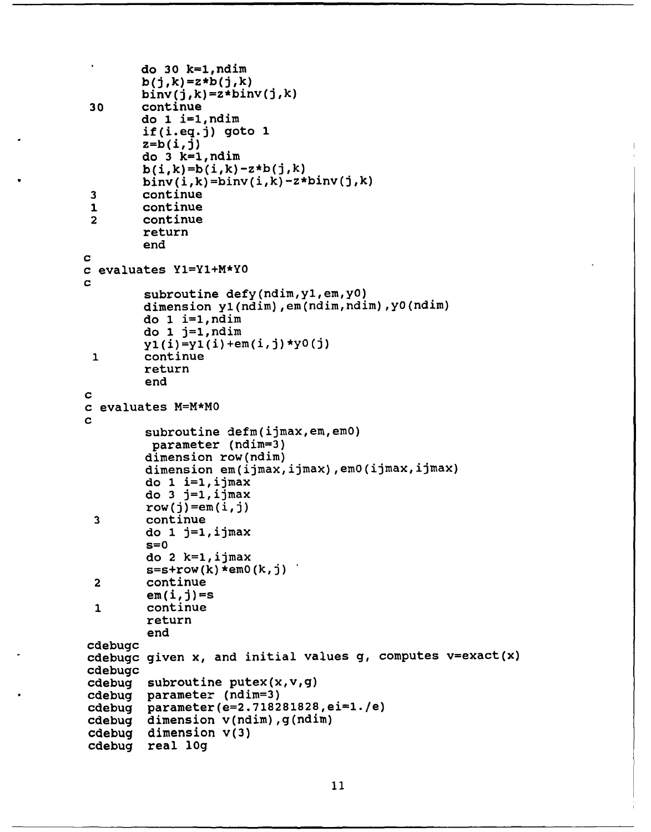```
\bulletdo 30 k=1, ndim
         b(j,k) = z * b(j,k)binv(j,k)=z*binv(j,k)continue
30do 1 i=1, ndim
         if(i.eq.j) goto 1z=b(i,j)do 3 k=1, ndimb(i,k)=b(i,k)-z*b(j,k)binv(i,k)=binv(i,k)-z*binv(j,k)continue
 3
         continue
 \mathbf{1}\overline{2}continue
         return
         end
\mathbf Cc evaluates Y1=Y1+M*Y0
C
         subroutine defy(ndim, y1, em, y0)
         dimension y1(ndim), em(ndim, ndim), y0(ndim)
         do 1 i=1, ndimdo 1 j=1, ndimy1(i)=y1(i)+em(i,j)*y0(j)\mathbf 1continue
         return
         end
\mathbf Cc evaluates M=M*M0
\mathbf csubroutine defm(ijmax, em, em0)
          parameter (ndim=3)
         dimension row(ndim)
         dimension em(ijmax, ijmax), em0(ijmax, ijmax)
          do 1 i=1, ijmax
          do 3 j=1, ijmax
          row(j) = em(i, j)\overline{\mathbf{3}}continue
          do 1 j=1, ijmax
          s = 0do 2 k=1, ijmax
          s = s + row(k) * em0(k, j)\overline{2}continue
          em(i,j)=scontinue
 \mathbf{1}return
          end
cdebugc
cdebugc given x, and initial values g, computes v=exact(x)
cdebugc
cdebug subroutine putex(x, v, g)
cdebug parameter (ndim=3)
cdebug parameter (e=2.718281828, ei=1./e)<br>cdebug dimension v(ndim), g(ndim)
cdebug dimension V(3)cdebug real 10g
```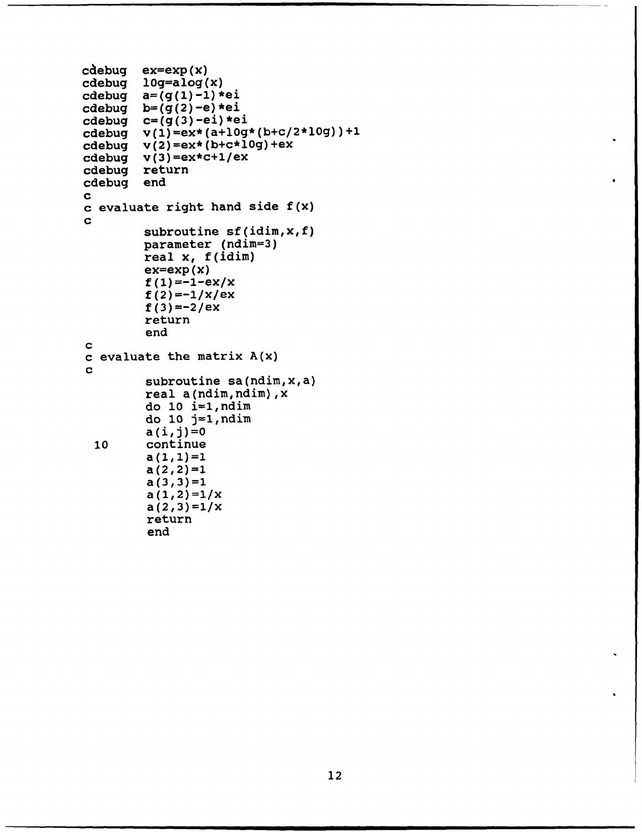```
cdebug ex=exp(x)
cdebug log=alog (x)
cdebug a= (g (1) -1) *ei
cdebug b=(q(2)-e)*eicdebug c=(g(3)-ei)*ei<br>cdebug v(1)=ex*(a+10g)cdebug v(1) = ex*(a+10g*(b+c/2*10g)) + 1<br>cdebug v(2) = ex*(b+c*10g) + exv(2) = ex*(b+c*10g) + excdebug v(3)=ex*c+1/ex
cdebug return<br>cdebug end
cdebug
C
c evaluate right hand side f(x)
C
         subroutine sf(idim,x, f)
         parameter (ndim=3)
         real x, f(idim)
         ex=exp(x)f(1)=-1-ex/xf(2) = -1/x/exf(3) = -2/exreturn
         end
C
c evaluate the matrix A(x)
C
         subroutine sa(ndim,x,a)
         real a(ndim,ndim) ,x
         do 10 i=l,ndim
         do 10 j=1,ndim
         a(i,j)=010 continue
         a(1, 1)=1a(2,2)=1a(3,3)=1a(1,2)=1/xa(2,3)=1/xreturn
```
end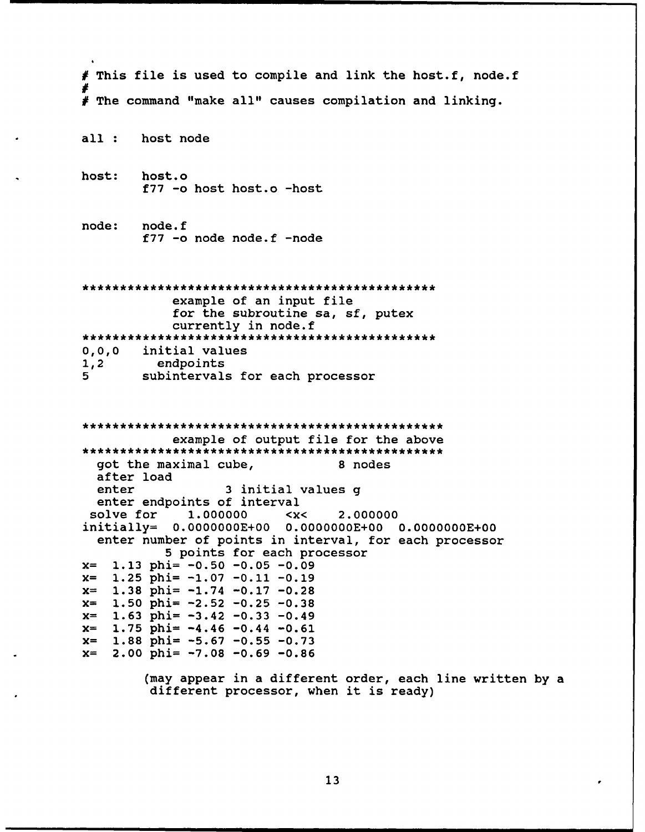# This file is used to compile and link the host.f, node.f **# I** The command "make all" causes compilation and linking. all : host node host: host.o f77 -o host host.o -host node: node.f f77 -o node node.f -node example of an input file for the subroutine sa, sf, putex currently in node.f 0,0,0 initial values 1,2 endpoints 5 subintervals for each processor example of output file for the above got the maximal cube, 8 nodes after load enter 3 initial values g enter endpoints of interval solve for 1.000000 <x< 2.000000 initially= **0.0000000E+00 0.OOOOOOOE+00 0.OOOOOOOE+00** enter number of points in interval, for each processor 5 points for each processor  $x=$  1.13 phi=  $-0.50$   $-0.05$   $-0.09$ x= 1.25 phi= -1.07 **-0.11** -0.19  $x= 1.38 \text{ phi} = -1.74 -0.17 -0.28$  $x= 1.50 \text{ phi} = -2.52 -0.25 -0.38$  $x= 1.63$  phi=  $-3.42$  -0.33 -0.49  $x= 1.75 \text{ phi} = -4.46 -0.44 -0.61$  $x=$  1.88 phi=  $-5.67$   $-0.55$   $-0.73$  $x= 2.00 \text{ phi} = -7.08 -0.69 -0.86$ (may appear in a different order, each line written by a different processor, when it is ready)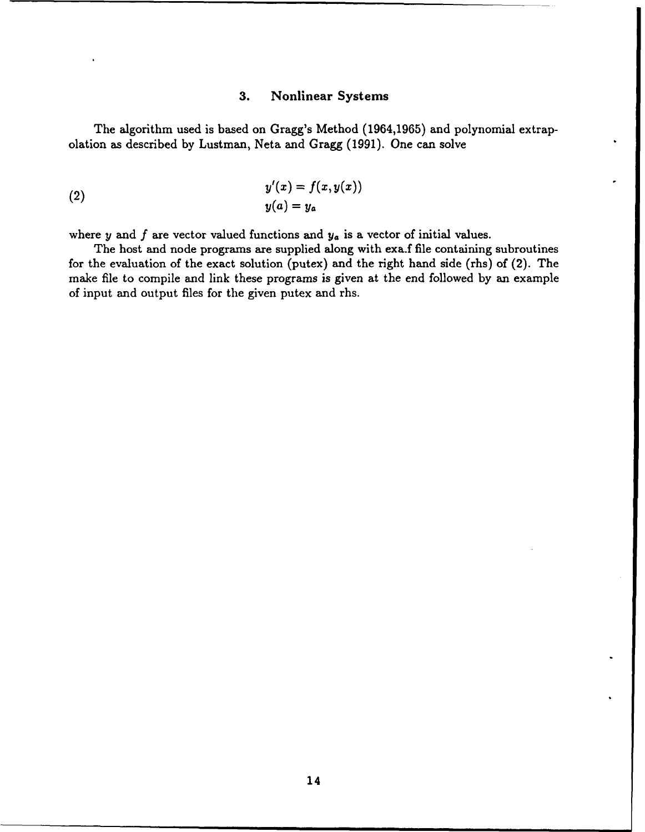#### **3.** Nonlinear Systems

The algorithm used is based on Gragg's Method (1964,1965) and polynomial extrapolation as described by Lustman, Neta and Gragg (1991). One can solve

(2) 
$$
y'(x) = f(x, y(x))
$$

$$
y(a) = y_a
$$

where  $y$  and  $f$  are vector valued functions and  $y_a$  is a vector of initial values.

The host and node programs are supplied along with exa.f file containing subroutines for the evaluation of the exact solution (putex) and the right hand side (rhs) of (2). The make file to compile and link these programs is given at the end followed by an example of input and output files for the given putex and rhs.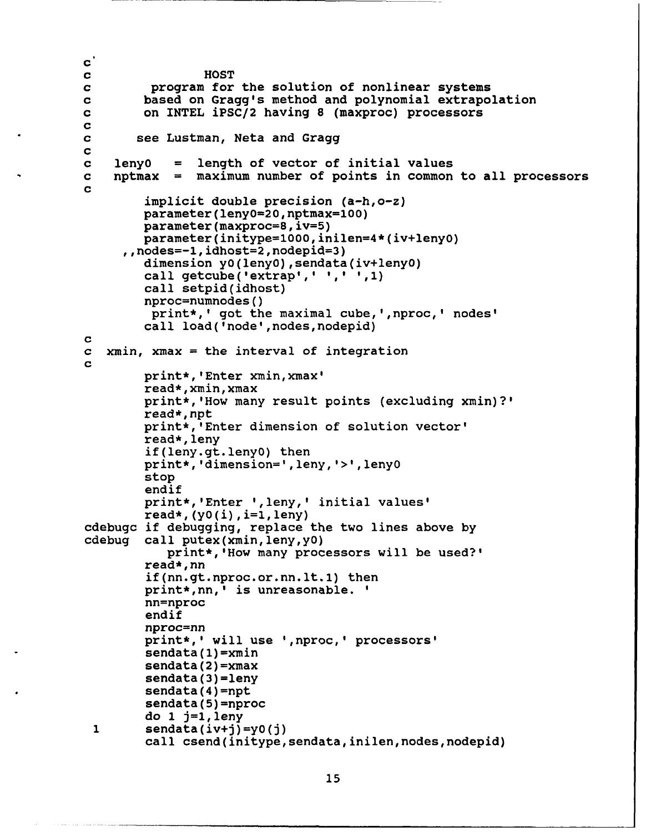```
C.
c HOST
         program for the solution of nonlinear systems
c based on Gragg's method and polynomial extrapolation
c on INTEL iPSC/2 having 8 (maxproc) processors
C
c see Lustman, Neta and Gragg
C
c lenyO = length of vector of initial values
    c nptmax = maximum number of points in common to all processors
c
        implicit double precision (a-h,o-z)
        parameter (lenyO=20, nptmax=100)
        parameter (maxproc=8, iv=5)
        parameter(initype=lOOO, inilen=4* (iv+lenyo)
     ,nodes=-l, idhost=2, nodepid=3)
        dimension y0(leny0), sendata(iv+leny0)
        call getcube('extrap',' '.' Ill)
        call setpid(idhost)
        npcc=numnodes()print*,' got the maximal cube,',nproc,' nodes'
        call load( 'node' ,nodes,nodepid)
c
c xmin, xmax = the interval of integration
c
        print*, 'Enter xmin,xmax'
        read*, xmin, xmax
        print*,'How many result points (excluding xmin)?'
        read*, npt
        print*,'Enter dimension of solution vector'
        read*, leny
        if(leny.gt.lenyO) then
        print*, 'dimension=' ,leny, '>',lenyO
        stop
        endif
        print*,'Enter ',leny,' initial values'
        read*, (y0(i), i=1, leny)cdebugc if debugging, replace the two lines above by
cdebug call putex(xmin,leny,yO)
           print*, 'How many processors will be used?'
        read*, nn
        if(nn.gt.nproc.or.nn. lt. 1) then
        print*, nn, ' is unreasonable. '
        nn=nproc
        endif
        nproc=nn
        print*,' will use ',nproc,' processors'
        sendata(1)=xminsendata(2) = xmaxsendata (3) =leny
        sendata (4) =npt
        sendata (5) =nproc
        do 1 j=l,leny
 1 sendata(iv+j)=yo(j)
        call csend(initype,sendata, inilen,nodes,nodepid)
```

```
15
```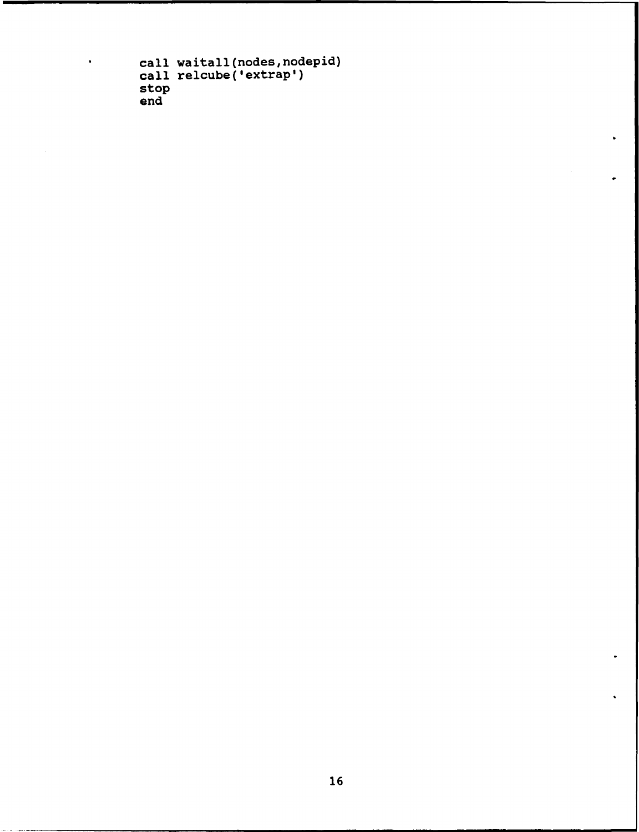```
call waitall(nodes,nodepid)
call relcube( 'extrap')
stop
end
```
 $\mathbf{r}$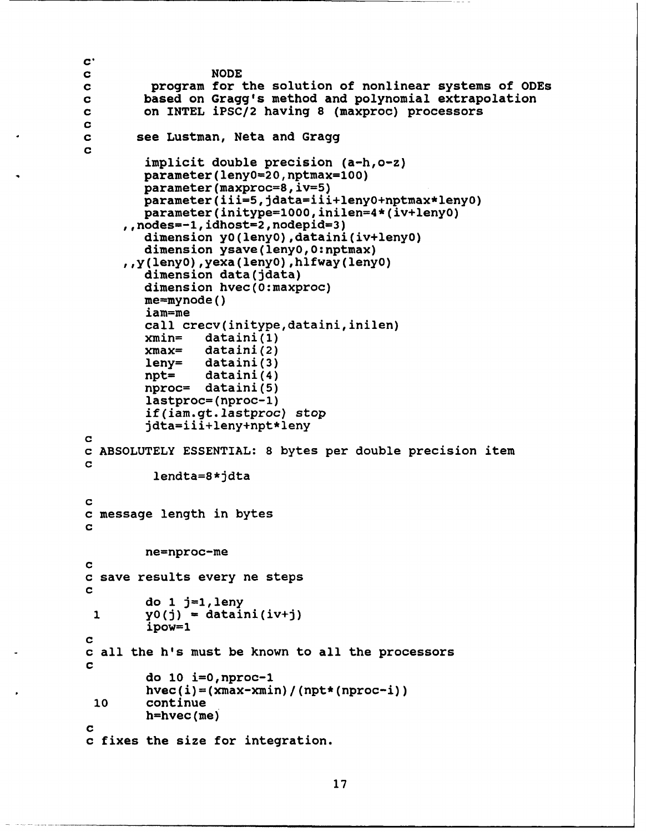```
C.
c NODE
c program for the solution of nonlinear systems of ODEs
c based on Gragg's method and polynomial extrapolation
        c on INTEL iPSC/2 having 8 (maxproc) processors
C
c see Lustman, Neta and Gragg
C
        implicit double precision (a-h,o-z)
        parameter (lenyO=20, nptmax=100)
        parameter (maxproc=8,iv=5)
        parameter (iii=5, jdata=iii+lenyo+nptmax*lenyO)
        parameter (initype=1000, inilen=4 *(iv+lenyo)
     ,,nodes=-1,idhost=2,nodepid=3)
        dimension yo(lenyO) ,dataini(iv+lenyo)
        dimension ysave (lenyO, 0:nptmax)
     ,y(lenyo) ,yexa(lenyO) ,hlfway(lenyO)
        dimension data (jdata)
        dimension hvec (O:maxproc)
        me = mynode()iam=me
        call crecv(initype,dataini, inilen)<br>xmin= dataini(1)
                 dataini(1)xmax= dataini(2)
        leny= dataini(3)
        npt= dataini(4)
        nproc= dataini(5)
        lastproc= (nproc-1)
        if(iam.gt. lastproc) stop
        jdta=iii+leny+npt*leny
C
c ABSOLUTELY ESSENTIAL: 8 bytes per double precision item
C
         lendta=S*jdta
C
c message length in bytes
c
        ne=nproc-me
c
c save results every ne steps
c
        do 1 j=1,leny
 1 \qquad \qquad \text{y0(j)} = \text{dataini}(iv+j)ipow=1
c
c all the h's must be known to all the processors
C
        do 10 i=0,nproc-1
        hvec(i) = (xmax-xmin) / (npt*(nproc-i))10 continue
        h=hvec (me)
c
c fixes the size for integration.
```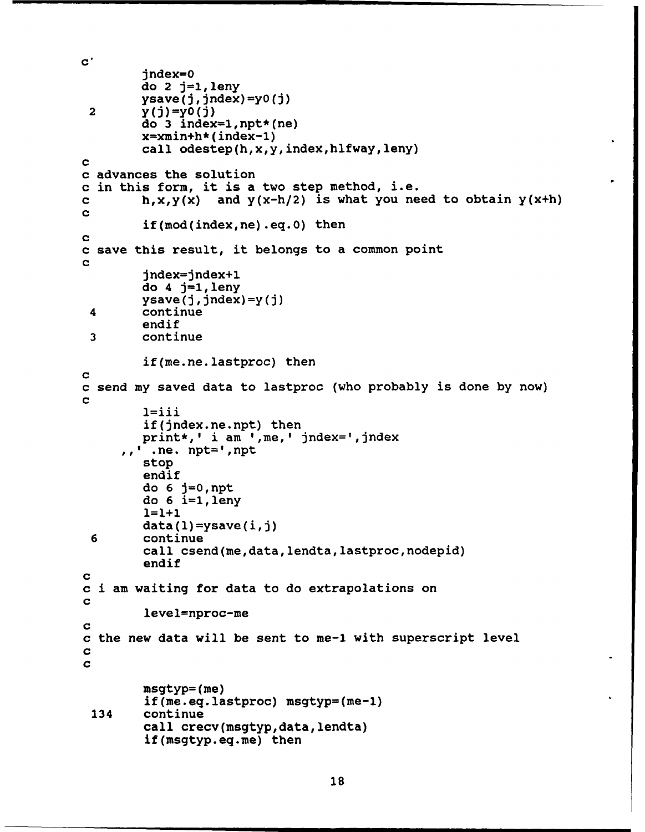```
C
        jndex=O
       do 2 j=1, leny
        ysave(j,jndex)=y0(j)2 y(j)=yO(j)
        do 3 index=l,npt*(ne)
        x=xmin+h*(index-1)call odestep(h,x,y, index,hlfway, leny)
C
c advances the solution
c in this form, it is a two step method, i.e.
c h, x, y(x) and y(x-h/2) is what you need to obtain y(x+h)C
        if(mod(index,ne).eq.O) then
C
c save this result, it belongs to a common point
c
        jndex=jndex+l
        do 4 j=l,leny
        ysave(j,jndex)=y(j)4 continue
        endif
 3 continue
        if(me.ne.lastproc) then
c
c send my saved data to lastproc (who probably is done by now)
c
        1=iii
        if(jndex.ne.npt) then
       print*,' i am ',me,' jndex=',jndex
     ,,' .ne. npt=',npt
        stop
        endif
        do 6 j=0, nptdo 6 i=1, leny
        1=1+1
        data(1) = ysave(i,j)6 continue
        call csend(me,data,lendta,lastproc,nodepid)
        endif
c
c i am waiting for data to do extrapolations on
c
        level=nproc-me
c
c the new data will be sent to me-1 with superscript level
c
c
        msgtyp=(me)
        if(me.eq.lastproc) msgtyp=(me-l)
 134 continue
        call crecv(msgtyp,data,lendta)
        if(msgtyp.eg.me) then
```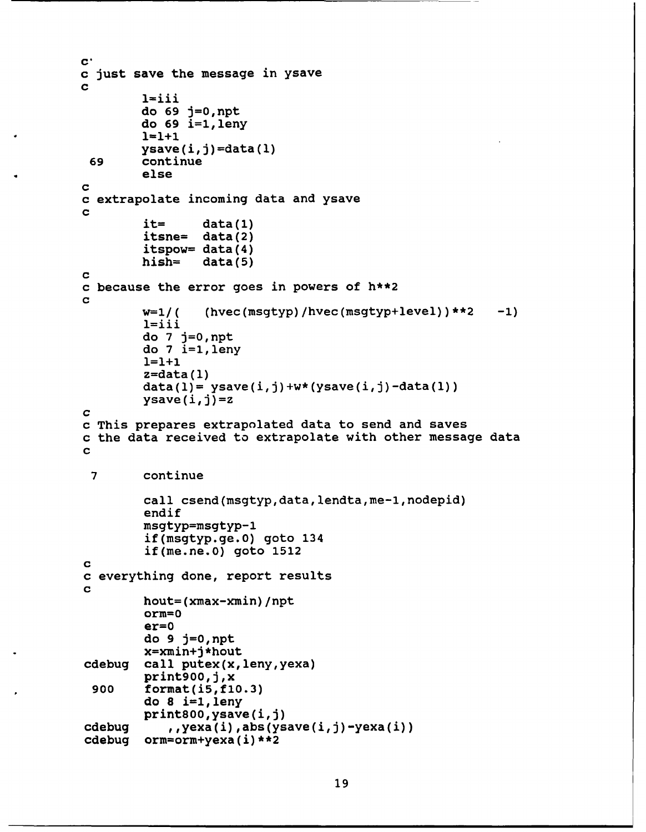```
C.
c just save the message in ysave
C
        1 = i i ido 69 j=O,npt
        do 69 i=1,leny
        ysave(i, j)=data(l)69 continue
        else
C
c extrapolate incoming data and ysave
C
        it = data(1)itsne= data(2)
        itspow= data(4)<br>hish= data(5)
                data(5)C
c because the error goes in powers of h**2
C
        w=l/ ( (hvec (msgtyp) /hvec (msgtyp+level) )**2 -1)
        l=iii
        do 7 j=O,npt
        do 7 i=1,leny
        1=1+1
        z = data(1)data(l)= ysave(i,j)+w*(ysave(i,j)-data(l))
        ysave(i,j) = zC
c This prepares extrapolated data to send and saves
c the data received to extrapolate with other message data
C
 7 continue
        call csend(msgtyp,data, lendta,me-1,nodepid)
        endif
        msgtyp=msgtyp-1
        if(msgtyp.ge.O) goto 134
        if(nie.ne.O) goto 1512
c
c everything done, report results
c
        hout=(xmax-xmin)/npt
        orm=O
        er=O
        do 9 j=O,npt
        x=xmin+j*hout
cdebug call putex(x,leny,yexa)
        print900,j,x900 format(i5,flO.3)
        do 8 i=1,leny
        print8oo,ysave(i,j)
cdebug ,, yexa(i), abs(ysave(i, j)-yexa(i))
cdebug orm=orm+yexa (i) **2
```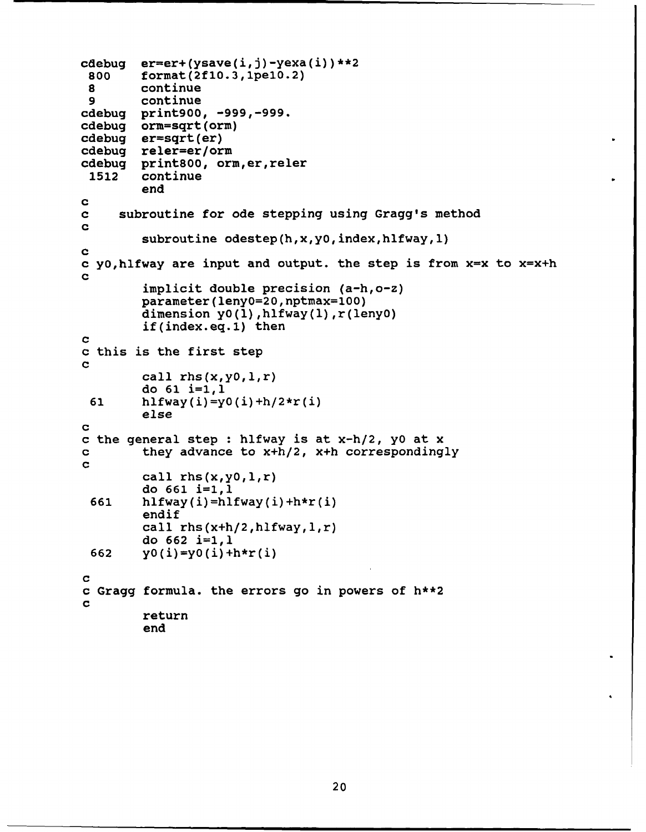```
cdebug er=er+(ysave(i,j)-yexa(i))**2<br>800 format(2f10.3.1pe10.2)
 800 format(2f10.3,lpe1O.2)
 8 continue
9 continue
cdebug print900, -999,-999.
        orm=sqrt (orm)
cdebug er=sqrt(er)<br>cdebug reler=er/or
        reler=er/orm
cdebug print800, orm,er,reler
        1512 continue
        end
C
c subroutine for ode stepping using Gragg's method
C
        subroutine odestep(h,x,y0,index,hlfway,1)
C
c yohlfway are input and output. the step is from x=x to x=x+h
C
        implicit double precision (a-h,o-z)
        parameter (lenyO=20, nptmax=100)
        dimension y0(1), hlfway(1), r(leny0)
        if(index.eq.1) then
C
c this is the first step
c
        call rhs(x,yO,l,r)
        do 61 i=1,l
 61 hlfway(i)=yO(i)+h/2*r(i)
        else
c
c the general step : hlfway is at x-h/2, yo at x
c they advance to x+h/2, x+h correspondingly
c
        call rhs(x,y0,1,r)do 661 i=1,l
 661 hlfway(i)=hlfway(i)+h*r(i)
        endif
        call rhs(x+h/2,h)ifway, l, r)
        do 662 i=l,l
 662 yO(i)=yO(i)+h*r(i)
c
c Gragg formula. the errors go in powers of h**2
c
        return
        end
```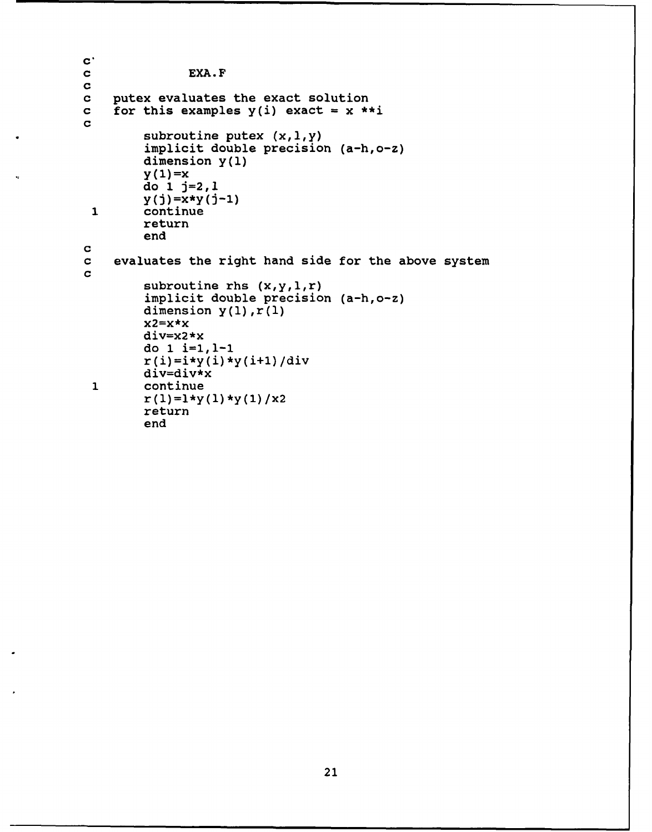```
C.
               c EXA. F
C
c putex evaluates the exact solution<br>c for this examples y(i) exact = x **
    for this examples y(i) exact = x * iC
         subroutine putex (x,1,y)implicit double precision (a-h,o-z)
         dimension y(l)
         y(l)=x
         do 1 j=2,1
         y(j)=x*y(j-1)
 1 continue
         return
         end
c
    evaluates the right hand side for the above system
C
         subroutine rhs (x,y,1,r)implicit double precision (a-h,o-z)
         dimension y(1), r(1)x2=x*xdiv=x2*x
         do 1 i=1,1-1
         r(i)=i*y(i)*y(i+1)/divdiv=div*x
 \mathbf{1}continue
         r(1)=1*y(1)*y(1)/x2return
         end
```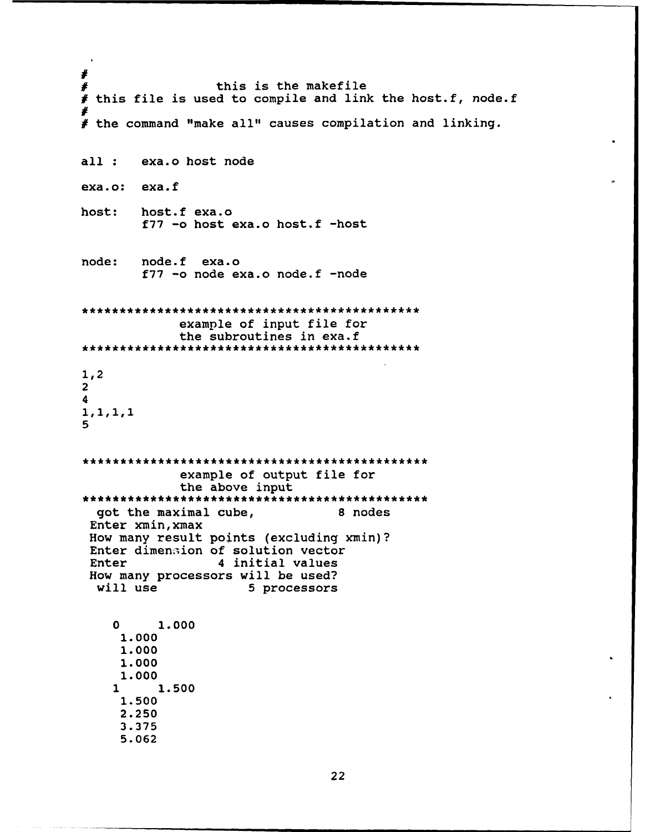$\boldsymbol{r}$ this is the makefile #  $#$  this file is used to compile and link the host.f, node.f ź. # the command "make all" causes compilation and linking. all : exa.o host node exa.o: exa.f host: host.f exa.o f77 -o host exa.o host.f -host node: node.f exa.o f77 -o node exa.o node.f -node example of input file for the subroutines in exa.f 1,2 2 4 **1,1,1,1** 5 \*\*\*\*\*\*\*\*\* \*\* \*\*\*\*\*\*\*\*\*\* \*\*\*\*\* \*\*\*\*\*\* \*\*\*\*\*\* \*\*\*\* example of output file for the above input got the maximal cube, 8 nodes Enter xmin,xmax How many result points (excluding xmin)? Enter dimension of solution vector Enter 4 initial values How many processors will be used? will use 5 processors **0 1.000** 1.000 **1.000 1.000 1.000 1 1.500 1.500 2.250 3.375 5.062**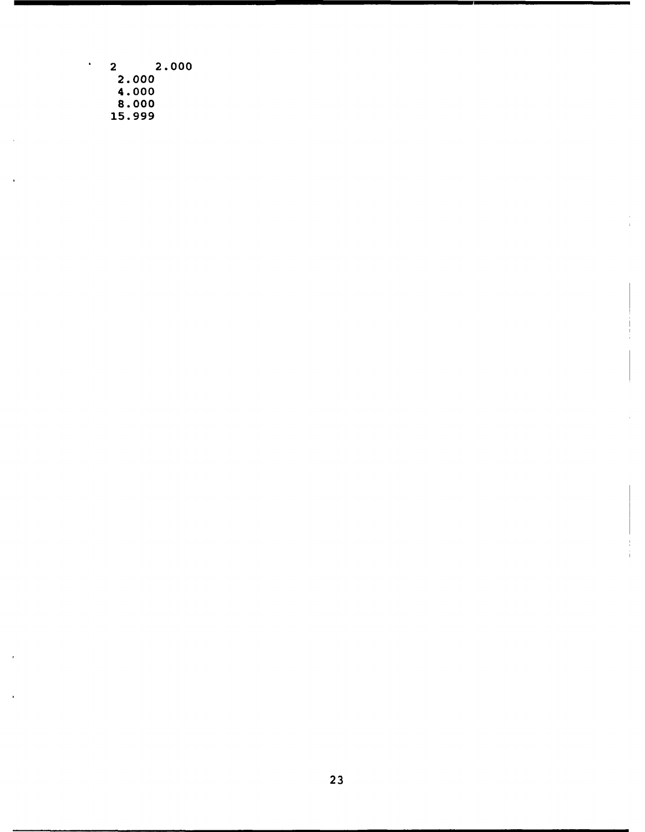| 2      | 2.000 |
|--------|-------|
| 2.000  |       |
| 4.000  |       |
| 8.000  |       |
| 15.999 |       |
|        |       |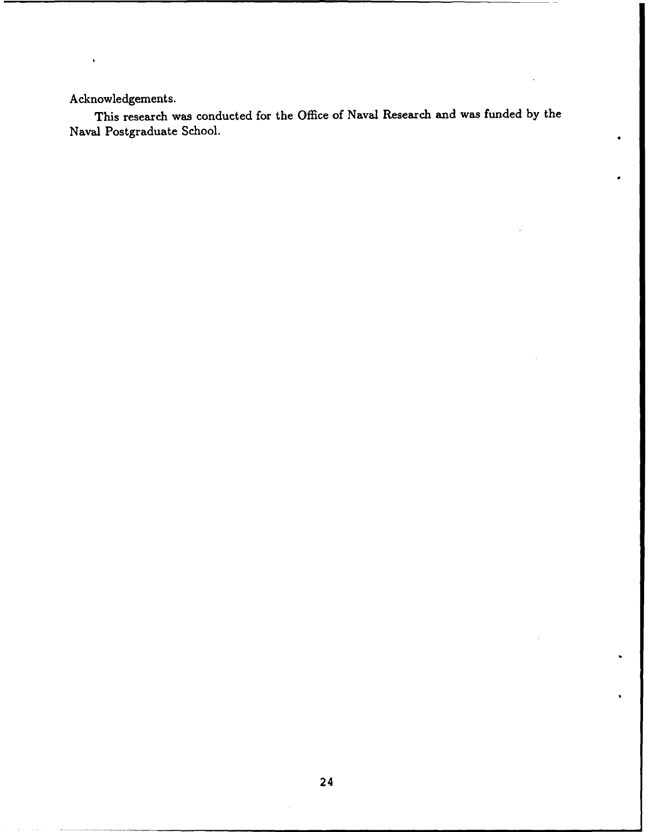### Acknowledgements.

 $\cdot$ 

This research was conducted for the Office of Naval Research and was funded **by** the Naval Postgraduate School.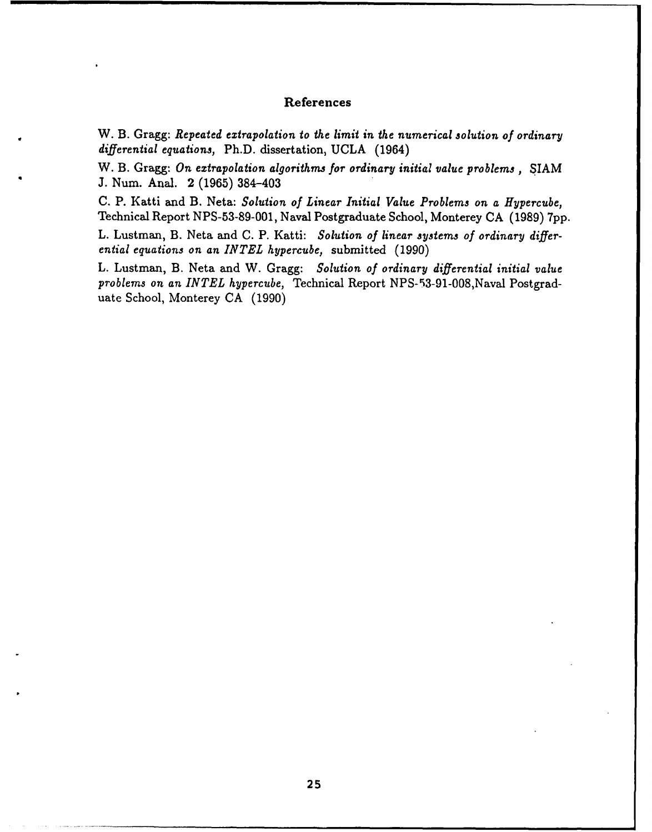#### References

W. B. Gragg: *Repeated extrapolation to the limit in the numerical solution of ordinary differential equations,* Ph.D. dissertation, **UCLA** (1964)

W. B. Gragg: *On extrapolation algorithms for ordinary initial value problems,* SIAM **J.** Num. Anal. 2 (1965) 384-403

C. P. Katti and B. Neta: *Solution of Linear Initial Value Problems on a Hypercube,* Technical Report NPS-53-89-001, Naval Postgraduate School, Monterey **CA** (1989) 7pp.

L. Lustman, B. Neta and C. P. Katti: *Solution of linear systems of ordinary differential equations on an INTEL hypercube,* submitted (1990)

L. Lustman, B. Neta and W. Gragg: *Solution of ordinary differential initial value problems on an INTEL hypercube,* Technical Report NPS-53-91-008,Naval Postgraduate School, Monterey CA (1990)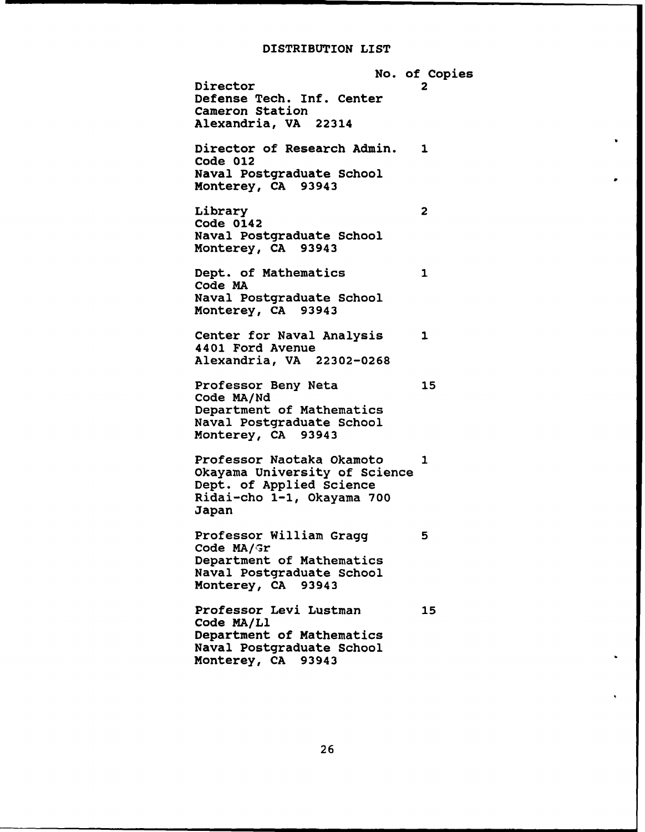#### DISTRIBUTION LIST

No. of Copies Director 2 Defense Tech. Inf. Center Cameron Station Alexandria, VA 22314 Director of Research Admin. **1** Code 012 Naval Postgraduate School Monterey, **CA** 93943 Library 2 Code 0142 Naval Postgraduate School Monterey, **CA** 93943 Dept. of Mathematics  $\mathbf{1}$ Code MA Naval Postgraduate School Monterey, **CA** 93943 Center for Naval Analysis **1** 4401 Ford Avenue Alexandria, VA **22302-0268** Professor Beny Neta **15** Code MA/Nd Department of Mathematics Naval Postgraduate School Monterey, CA 93943 Professor Naotaka Okamoto  $\mathbf{1}$ Okayama University of Science Dept. of Applied Science Ridai-cho **1-1,** Okayama 700 Japan Professor William Gragg 5 Code MA/Gr Department of Mathematics Naval Postgraduate School Monterey, **CA** 93943 Professor Levi Lustman 15 Code **MA/Ll** Department of Mathematics Naval Postgraduate School Monterey, **CA** 93943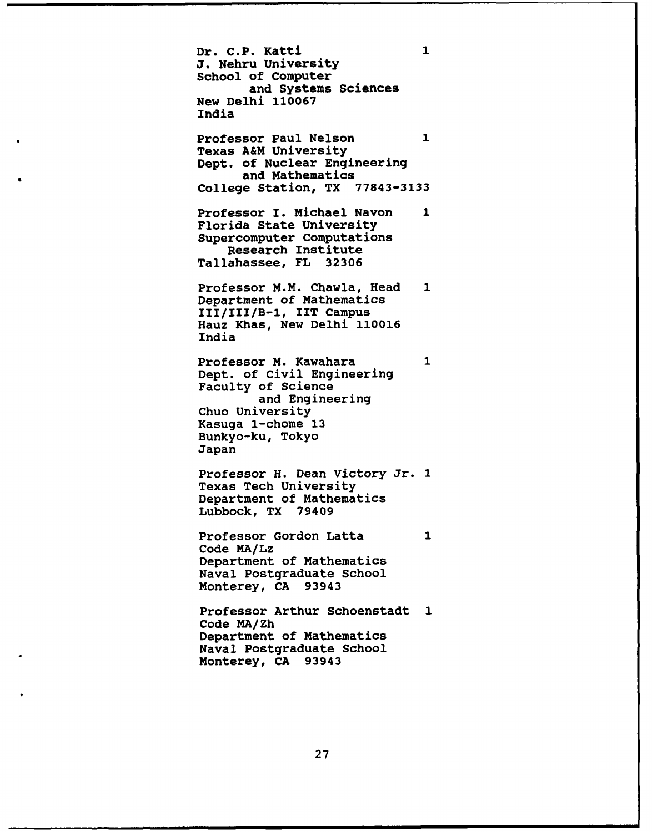Dr. **C.P.** Katti **J.** Nehru University School of Computer and Systems Sciences New Delhi 110067 India Professor Paul Nelson **1** Texas A&M University Dept. of Nuclear Engineering and Mathematics College Station, TX **77843-3133** Professor I. Michael Navon **1** Florida State University

 $\mathbf{1}$ 

Supercomputer Computations Research Institute Tallahassee, FL **32306**

Professor M.M. Chawla, Head **1** Department of Mathematics **III/III/B-I, IIT** Campus Hauz Khas, New Delhi **110016** India

Professor M. Kawahara **1** Dept. of Civil Engineering Faculty of Science and Engineering Chuo University Kasuga 1-chome **13** Bunkyo-ku, Tokyo Japan

Professor H. Dean Victory Jr. 1 Texas Tech University Department of Mathematics Lubbock, TX **79409**

Professor Gordon Latta **1** Code MA/Lz Department of Mathematics Naval Postgraduate School Monterey, **CA** 93943

Professor Arthur Schoenstadt 1 Code MA/Zh Department of Mathematics Naval Postgraduate School Monterey, **CA** 93943